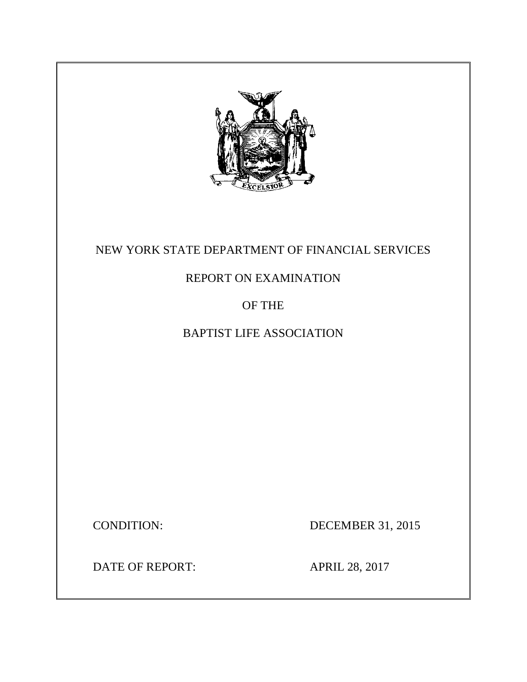

# NEW YORK STATE DEPARTMENT OF FINANCIAL SERVICES

# REPORT ON EXAMINATION

# OF THE

# BAPTIST LIFE ASSOCIATION

**CONDITION:** 

DECEMBER 31, 2015

DATE OF REPORT: APRIL 28, 2017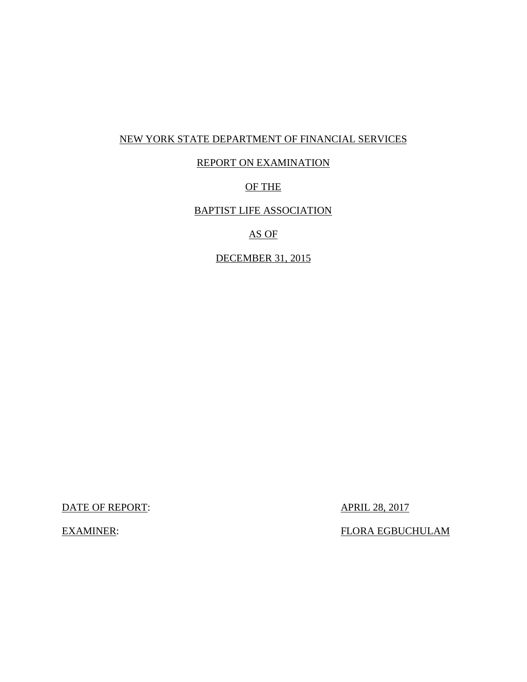### NEW YORK STATE DEPARTMENT OF FINANCIAL SERVICES

## REPORT ON EXAMINATION

### OF THE

### BAPTIST LIFE ASSOCIATION

### AS OF

### DECEMBER 31, 2015

DATE OF REPORT:  $\overline{APRIL}$  28, 2017

**EXAMINER:** 

FLORA EGBUCHULAM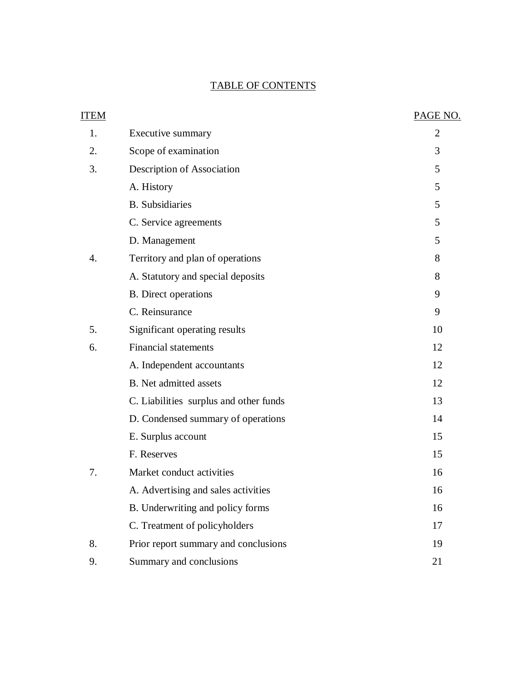### TABLE OF CONTENTS

| ITEM |                                        | PAGE NO.       |
|------|----------------------------------------|----------------|
| 1.   | Executive summary                      | $\overline{2}$ |
| 2.   | Scope of examination                   | 3              |
| 3.   | Description of Association             | 5              |
|      | A. History                             | 5              |
|      | <b>B.</b> Subsidiaries                 | 5              |
|      | C. Service agreements                  | 5              |
|      | D. Management                          | 5              |
| 4.   | Territory and plan of operations       | 8              |
|      | A. Statutory and special deposits      | 8              |
|      | <b>B.</b> Direct operations            | 9              |
|      | C. Reinsurance                         | 9              |
| 5.   | Significant operating results          | 10             |
| 6.   | <b>Financial statements</b>            | 12             |
|      | A. Independent accountants             | 12             |
|      | <b>B.</b> Net admitted assets          | 12             |
|      | C. Liabilities surplus and other funds | 13             |
|      | D. Condensed summary of operations     | 14             |
|      | E. Surplus account                     | 15             |
|      | F. Reserves                            | 15             |
| 7.   | Market conduct activities              | 16             |
|      | A. Advertising and sales activities    | 16             |
|      | B. Underwriting and policy forms       | 16             |
|      | C. Treatment of policyholders          | 17             |
| 8.   | Prior report summary and conclusions   | 19             |
| 9.   | Summary and conclusions                | 21             |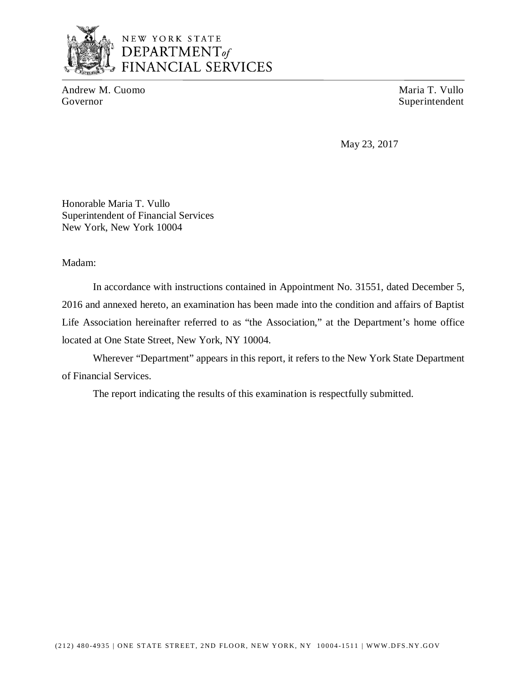

# NEW YORK STATE DEPARTMENT<sub>of</sub> **FINANCIAL SERVICES**

Andrew M. Cuomo Maria T. Vullo Governor Superintendent

May 23, 2017

 Honorable Maria T. Vullo Superintendent of Financial Services New York, New York 10004

Madam:

 2016 and annexed hereto, an examination has been made into the condition and affairs of Baptist Life Association hereinafter referred to as "the Association," at the Department's home office located at One State Street, New York, NY 10004. In accordance with instructions contained in Appointment No. 31551, dated December 5,

 Wherever "Department" appears in this report, it refers to the New York State Department of Financial Services.

The report indicating the results of this examination is respectfully submitted.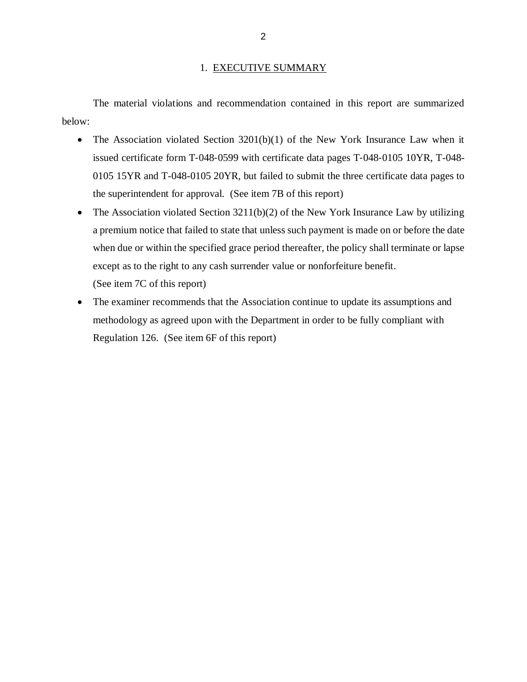### 1. EXECUTIVE SUMMARY

 The material violations and recommendation contained in this report are summarized below:

- The Association violated Section 3201(b)(1) of the New York Insurance Law when it issued certificate form T‐048‐0599 with certificate data pages T‐048‐0105 10YR, T-048- 0105 15YR and T-048-0105 20YR, but failed to submit the three certificate data pages to the superintendent for approval. (See item 7B of this report)
- The Association violated Section 3211(b)(2) of the New York Insurance Law by utilizing a premium notice that failed to state that unless such payment is made on or before the date when due or within the specified grace period thereafter, the policy shall terminate or lapse except as to the right to any cash surrender value or nonforfeiture benefit. (See item 7C of this report)
- The examiner recommends that the Association continue to update its assumptions and methodology as agreed upon with the Department in order to be fully compliant with Regulation 126. (See item 6F of this report)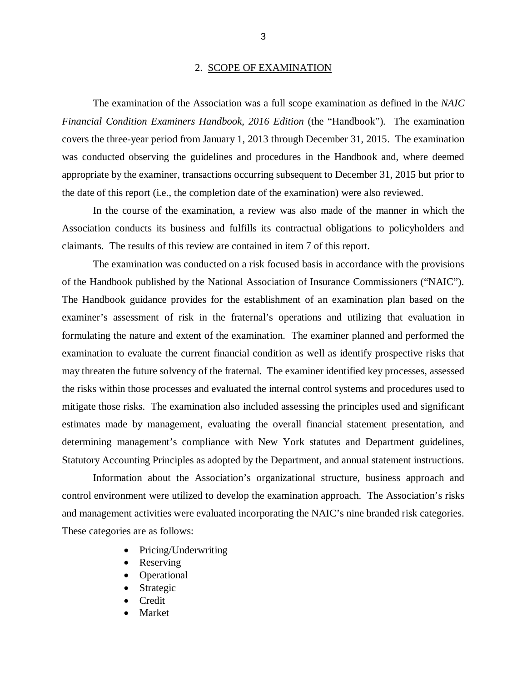### 2. SCOPE OF EXAMINATION

 *Financial Condition Examiners Handbook, 2016 Edition* (the "Handbook")*.* The examination covers the three-year period from January 1, 2013 through December 31, 2015. The examination was conducted observing the guidelines and procedures in the Handbook and, where deemed appropriate by the examiner, transactions occurring subsequent to December 31, 2015 but prior to the date of this report (i.e., the completion date of the examination) were also reviewed. The examination of the Association was a full scope examination as defined in the *NAIC* 

 Association conducts its business and fulfills its contractual obligations to policyholders and claimants. The results of this review are contained in item 7 of this report. In the course of the examination, a review was also made of the manner in which the

 of the Handbook published by the National Association of Insurance Commissioners ("NAIC"). The Handbook guidance provides for the establishment of an examination plan based on the examiner's assessment of risk in the fraternal's operations and utilizing that evaluation in formulating the nature and extent of the examination. The examiner planned and performed the examination to evaluate the current financial condition as well as identify prospective risks that may threaten the future solvency of the fraternal. The examiner identified key processes, assessed the risks within those processes and evaluated the internal control systems and procedures used to mitigate those risks. The examination also included assessing the principles used and significant estimates made by management, evaluating the overall financial statement presentation, and determining management's compliance with New York statutes and Department guidelines, Statutory Accounting Principles as adopted by the Department, and annual statement instructions. The examination was conducted on a risk focused basis in accordance with the provisions

 Information about the Association's organizational structure, business approach and control environment were utilized to develop the examination approach. The Association's risks and management activities were evaluated incorporating the NAIC's nine branded risk categories. These categories are as follows:

- Pricing/Underwriting
- Reserving
- Operational
- Strategic
- Credit
- Market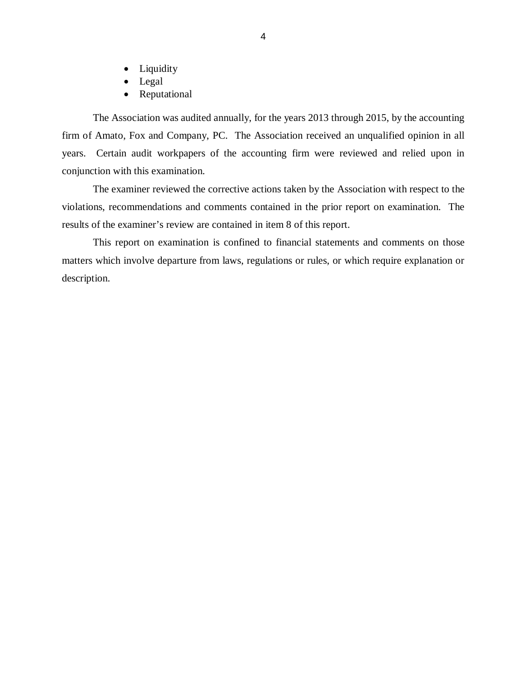- Liquidity
- Legal
- Reputational

 The Association was audited annually, for the years 2013 through 2015, by the accounting firm of Amato, Fox and Company, PC. The Association received an unqualified opinion in all years. Certain audit workpapers of the accounting firm were reviewed and relied upon in conjunction with this examination.

 violations, recommendations and comments contained in the prior report on examination. The results of the examiner's review are contained in item 8 of this report. The examiner reviewed the corrective actions taken by the Association with respect to the

 matters which involve departure from laws, regulations or rules, or which require explanation or This report on examination is confined to financial statements and comments on those description.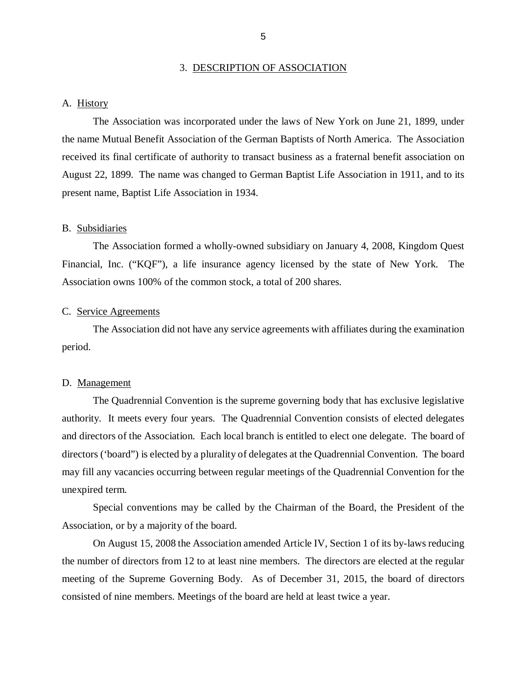### 3. DESCRIPTION OF ASSOCIATION

### <span id="page-7-0"></span>A. History

 the name Mutual Benefit Association of the German Baptists of North America. The Association received its final certificate of authority to transact business as a fraternal benefit association on August 22, 1899. The name was changed to German Baptist Life Association in 1911, and to its present name, Baptist Life Association in 1934. The Association was incorporated under the laws of New York on June 21, 1899, under

### B. Subsidiaries

 Financial, Inc. ("KQF"), a life insurance agency licensed by the state of New York. The Association owns 100% of the common stock, a total of 200 shares. The Association formed a wholly-owned subsidiary on January 4, 2008, Kingdom Quest

### C. Service Agreements

period. period.<br>D. <u>Management</u> The Association did not have any service agreements with affiliates during the examination

 authority. It meets every four years. The Quadrennial Convention consists of elected delegates and directors of the Association. Each local branch is entitled to elect one delegate. The board of directors ('board") is elected by a plurality of delegates at the Quadrennial Convention. The board may fill any vacancies occurring between regular meetings of the Quadrennial Convention for the unexpired term. The Quadrennial Convention is the supreme governing body that has exclusive legislative

 unexpired term. Special conventions may be called by the Chairman of the Board, the President of the Association, or by a majority of the board.

 the number of directors from 12 to at least nine members. The directors are elected at the regular meeting of the Supreme Governing Body. As of December 31, 2015, the board of directors consisted of nine members. Meetings of the board are held at least twice a year. On August 15, 2008 the Association amended Article IV, Section 1 of its by-laws reducing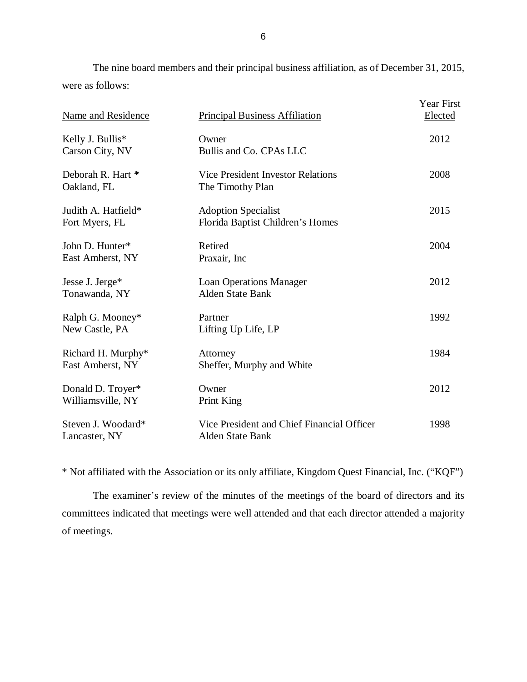The nine board members and their principal business affiliation, as of December 31, 2015, were as follows:

| Name and Residence                     | <b>Principal Business Affiliation</b>                                 | Year First<br>Elected |
|----------------------------------------|-----------------------------------------------------------------------|-----------------------|
| Kelly J. Bullis*<br>Carson City, NV    | Owner<br>Bullis and Co. CPAs LLC                                      | 2012                  |
| Deborah R. Hart *<br>Oakland, FL       | <b>Vice President Investor Relations</b><br>The Timothy Plan          | 2008                  |
| Judith A. Hatfield*<br>Fort Myers, FL  | <b>Adoption Specialist</b><br>Florida Baptist Children's Homes        | 2015                  |
| John D. Hunter*<br>East Amherst, NY    | Retired<br>Praxair, Inc                                               | 2004                  |
| Jesse J. Jerge*<br>Tonawanda, NY       | <b>Loan Operations Manager</b><br><b>Alden State Bank</b>             | 2012                  |
| Ralph G. Mooney*<br>New Castle, PA     | Partner<br>Lifting Up Life, LP                                        | 1992                  |
| Richard H. Murphy*<br>East Amherst, NY | Attorney<br>Sheffer, Murphy and White                                 | 1984                  |
| Donald D. Troyer*<br>Williamsville, NY | Owner<br>Print King                                                   | 2012                  |
| Steven J. Woodard*<br>Lancaster, NY    | Vice President and Chief Financial Officer<br><b>Alden State Bank</b> | 1998                  |

\* Not affiliated with the Association or its only affiliate, Kingdom Quest Financial, Inc. ("KQF")

 committees indicated that meetings were well attended and that each director attended a majority of meetings. The examiner's review of the minutes of the meetings of the board of directors and its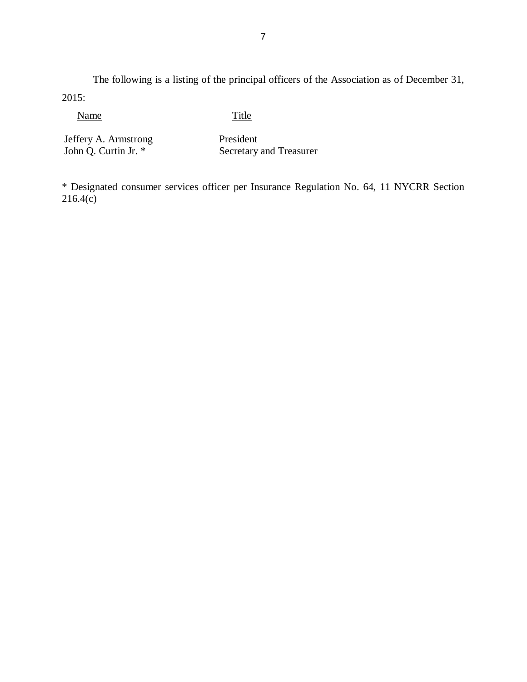The following is a listing of the principal officers of the Association as of December 31, 2015:

Name Title

 Jeffery A. Armstrong John Q. Curtin Jr. \*

President Secretary and Treasurer

 \* Designated consumer services officer per Insurance Regulation No. 64, 11 NYCRR Section 216.4(c)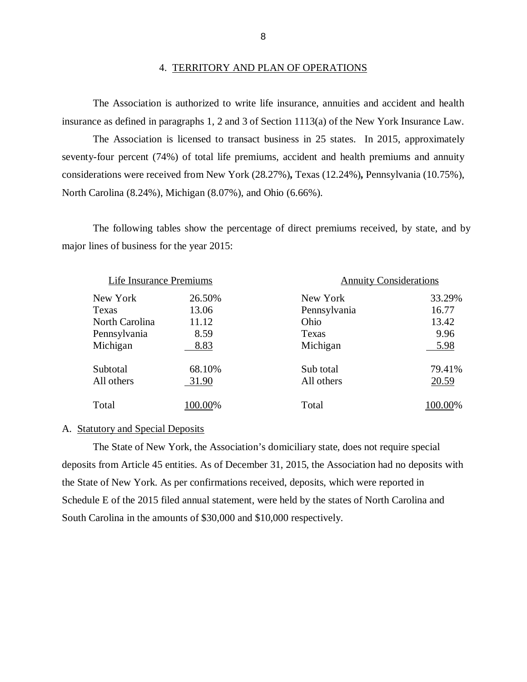insurance as defined in paragraphs 1, 2 and 3 of Section 1113(a) of the New York Insurance Law. The Association is authorized to write life insurance, annuities and accident and health

 seventy-four percent (74%) of total life premiums, accident and health premiums and annuity considerations were received from New York (28.27%)*,* Texas (12.24%)*,* Pennsylvania (10.75%), North Carolina (8.24%), Michigan (8.07%), and Ohio (6.66%). The Association is licensed to transact business in 25 states. In 2015, approximately

 The following tables show the percentage of direct premiums received, by state, and by major lines of business for the year 2015:

| Life Insurance Premiums |        | <b>Annuity Considerations</b> |         |
|-------------------------|--------|-------------------------------|---------|
| New York                | 26.50% | New York                      | 33.29%  |
| Texas                   | 13.06  | Pennsylvania                  | 16.77   |
| North Carolina          | 11.12  | Ohio                          | 13.42   |
| Pennsylvania            | 8.59   | Texas                         | 9.96    |
| Michigan                | 8.83   | Michigan                      | 5.98    |
| Subtotal                | 68.10% | Sub total                     | 79.41%  |
| All others              | 31.90  | All others                    | 20.59   |
| Total                   | 00.00% | Total                         | 100.00% |

### A. Statutory and Special Deposits

 deposits from Article 45 entities. As of December 31, 2015, the Association had no deposits with the State of New York. As per confirmations received, deposits, which were reported in Schedule E of the 2015 filed annual statement, were held by the states of North Carolina and South Carolina in the amounts of \$30,000 and \$10,000 respectively. The State of New York, the Association's domiciliary state, does not require special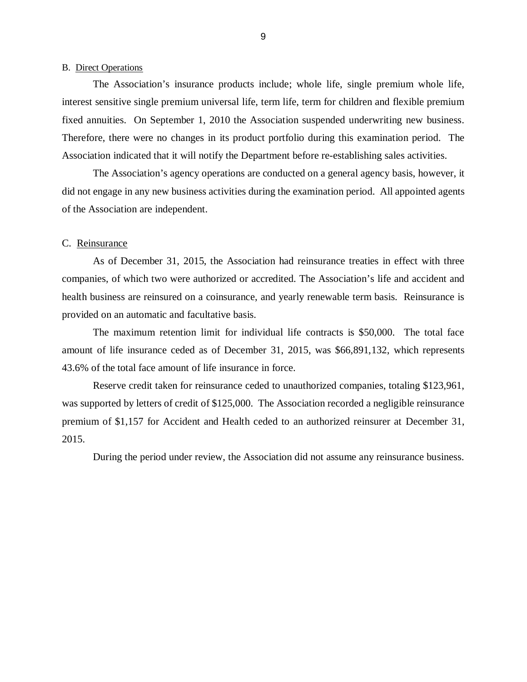### <span id="page-11-0"></span>B. Direct Operations

 The Association's insurance products include; whole life, single premium whole life, interest sensitive single premium universal life, term life, term for children and flexible premium fixed annuities. On September 1, 2010 the Association suspended underwriting new business. Therefore, there were no changes in its product portfolio during this examination period. The Association indicated that it will notify the Department before re-establishing sales activities.

 did not engage in any new business activities during the examination period. All appointed agents of the Association are independent. The Association's agency operations are conducted on a general agency basis, however, it

### C. Reinsurance

 companies, of which two were authorized or accredited. The Association's life and accident and health business are reinsured on a coinsurance, and yearly renewable term basis. Reinsurance is provided on an automatic and facultative basis. As of December 31, 2015, the Association had reinsurance treaties in effect with three

 amount of life insurance ceded as of December 31, 2015, was \$66,891,132, which represents 43.6% of the total face amount of life insurance in force. The maximum retention limit for individual life contracts is \$50,000. The total face

 Reserve credit taken for reinsurance ceded to unauthorized companies, totaling \$123,961, was supported by letters of credit of \$125,000. The Association recorded a negligible reinsurance premium of \$1,157 for Accident and Health ceded to an authorized reinsurer at December 31, 2015.

During the period under review, the Association did not assume any reinsurance business.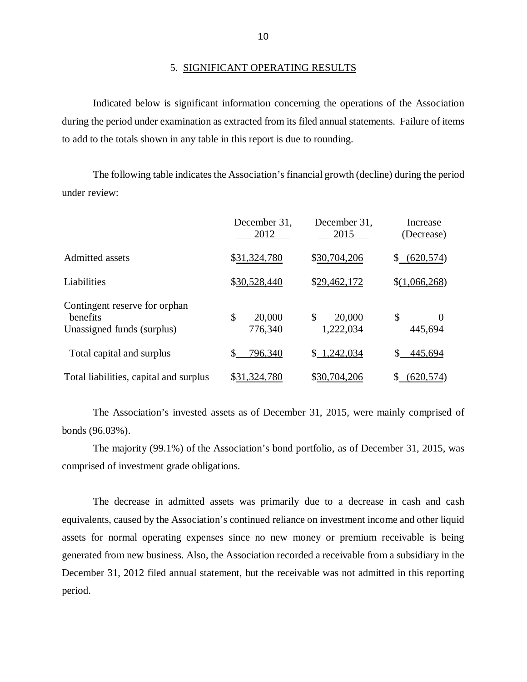### 5. SIGNIFICANT OPERATING RESULTS

 Indicated below is significant information concerning the operations of the Association during the period under examination as extracted from its filed annual statements. Failure of items to add to the totals shown in any table in this report is due to rounding.

 under review: The following table indicates the Association's financial growth (decline) during the period

|                                                                         | December 31,<br>2012    | December 31.<br>2015      | Increase<br>(Decrease)    |
|-------------------------------------------------------------------------|-------------------------|---------------------------|---------------------------|
| Admitted assets                                                         | \$31,324,780            | \$30,704,206              | (620, 574)<br>\$          |
| Liabilities                                                             | \$30,528,440            | \$29,462,172              | \$(1,066,268)             |
| Contingent reserve for orphan<br>benefits<br>Unassigned funds (surplus) | \$<br>20,000<br>776,340 | \$<br>20,000<br>1,222,034 | \$<br>$\Omega$<br>445,694 |
| Total capital and surplus                                               | 796,340                 | \$1,242,034               | 445,694                   |
| Total liabilities, capital and surplus                                  | \$31 <u>,324,780</u>    | \$30,704,206              | (620,574)                 |

 bonds (96.03%). The Association's invested assets as of December 31, 2015, were mainly comprised of

 comprised of investment grade obligations. The majority (99.1%) of the Association's bond portfolio, as of December 31, 2015, was

 equivalents, caused by the Association's continued reliance on investment income and other liquid assets for normal operating expenses since no new money or premium receivable is being generated from new business. Also, the Association recorded a receivable from a subsidiary in the December 31, 2012 filed annual statement, but the receivable was not admitted in this reporting period. The decrease in admitted assets was primarily due to a decrease in cash and cash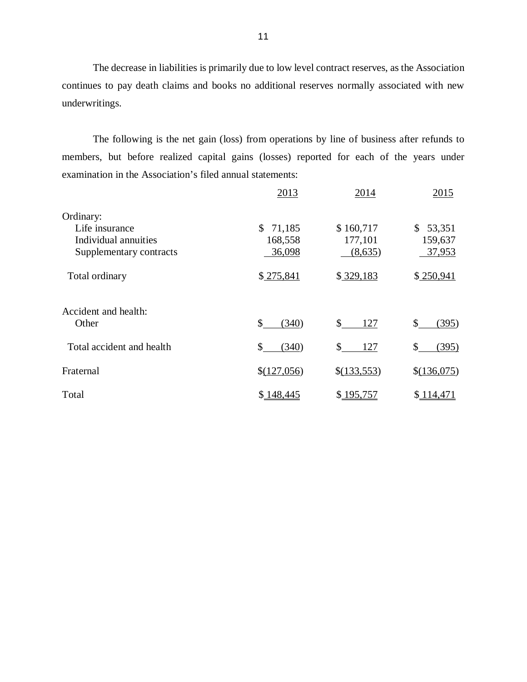continues to pay death claims and books no additional reserves normally associated with new underwritings. The decrease in liabilities is primarily due to low level contract reserves, as the Association

 members, but before realized capital gains (losses) reported for each of the years under examination in the Association's filed annual statements: The following is the net gain (loss) from operations by line of business after refunds to

|                           | 2013                   | 2014        | 2015                   |
|---------------------------|------------------------|-------------|------------------------|
| Ordinary:                 |                        |             |                        |
| Life insurance            | $\mathbb{S}$<br>71,185 | \$160,717   | $\mathbb{S}$<br>53,351 |
| Individual annuities      | 168,558                | 177,101     | 159,637                |
| Supplementary contracts   | 36,098                 | (8,635)     | 37,953                 |
| Total ordinary            | \$275,841              | \$329,183   | \$250,941              |
| Accident and health:      |                        |             |                        |
| Other                     | \$<br>(340)            | \$<br>127   | \$<br>(395)            |
| Total accident and health | \$<br>(340)            | \$<br>127   | (395)<br>\$            |
| Fraternal                 | \$(127,056)            | \$(133,553) | \$(136,075)            |
| Total                     | \$148,445              | \$195,757   | \$114,471              |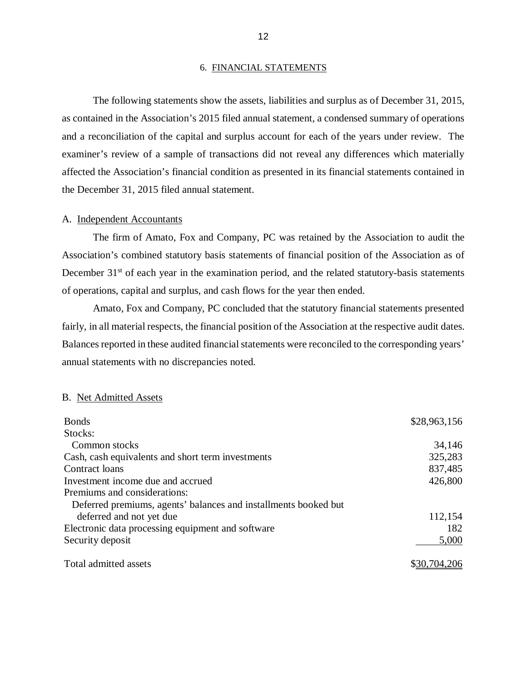### 6. FINANCIAL STATEMENTS

<span id="page-14-0"></span> The following statements show the assets, liabilities and surplus as of December 31, 2015, as contained in the Association's 2015 filed annual statement, a condensed summary of operations and a reconciliation of the capital and surplus account for each of the years under review. The examiner's review of a sample of transactions did not reveal any differences which materially affected the Association's financial condition as presented in its financial statements contained in the December 31, 2015 filed annual statement.

### A. Independent Accountants

 Association's combined statutory basis statements of financial position of the Association as of December 31<sup>st</sup> of each year in the examination period, and the related statutory-basis statements of operations, capital and surplus, and cash flows for the year then ended. The firm of Amato, Fox and Company, PC was retained by the Association to audit the

 Amato, Fox and Company, PC concluded that the statutory financial statements presented fairly, in all material respects, the financial position of the Association at the respective audit dates. Balances reported in these audited financial statements were reconciled to the corresponding years' annual statements with no discrepancies noted.

### B. Net Admitted Assets

| <b>Bonds</b>                                                    | \$28,963,156 |
|-----------------------------------------------------------------|--------------|
| Stocks:                                                         |              |
| Common stocks                                                   | 34,146       |
| Cash, cash equivalents and short term investments               | 325,283      |
| Contract loans                                                  | 837,485      |
| Investment income due and accrued                               | 426,800      |
| Premiums and considerations:                                    |              |
| Deferred premiums, agents' balances and installments booked but |              |
| deferred and not yet due                                        | 112,154      |
| Electronic data processing equipment and software               | 182          |
| Security deposit                                                | 5,000        |
| Total admitted assets                                           | \$30,704,206 |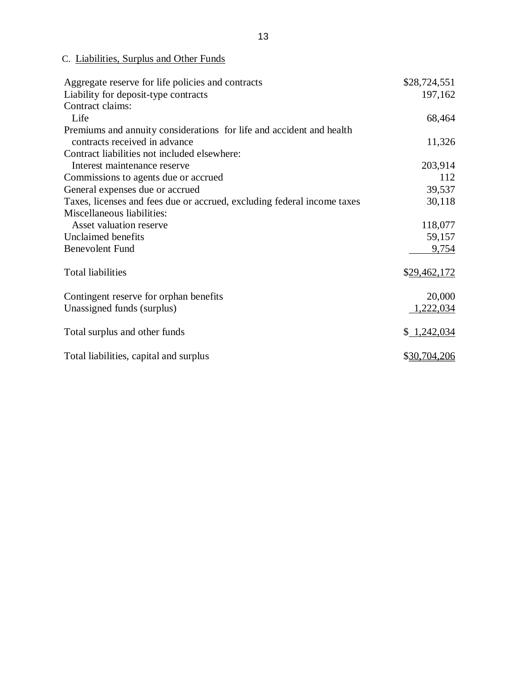C. Liabilities, Surplus and Other Funds

| Aggregate reserve for life policies and contracts                       | \$28,724,551 |
|-------------------------------------------------------------------------|--------------|
| Liability for deposit-type contracts                                    | 197,162      |
| Contract claims:                                                        |              |
| Life                                                                    | 68,464       |
| Premiums and annuity considerations for life and accident and health    |              |
| contracts received in advance                                           | 11,326       |
| Contract liabilities not included elsewhere:                            |              |
| Interest maintenance reserve                                            | 203,914      |
| Commissions to agents due or accrued                                    | 112          |
| General expenses due or accrued                                         | 39,537       |
| Taxes, licenses and fees due or accrued, excluding federal income taxes | 30,118       |
| Miscellaneous liabilities:                                              |              |
| Asset valuation reserve                                                 | 118,077      |
| Unclaimed benefits                                                      | 59,157       |
| <b>Benevolent Fund</b>                                                  | 9,754        |
|                                                                         |              |
| <b>Total liabilities</b>                                                | \$29,462,172 |
|                                                                         |              |
| Contingent reserve for orphan benefits                                  | 20,000       |
| Unassigned funds (surplus)                                              | 1,222,034    |
|                                                                         |              |
| Total surplus and other funds                                           | \$1,242,034  |
|                                                                         |              |
| Total liabilities, capital and surplus                                  | \$30,704,206 |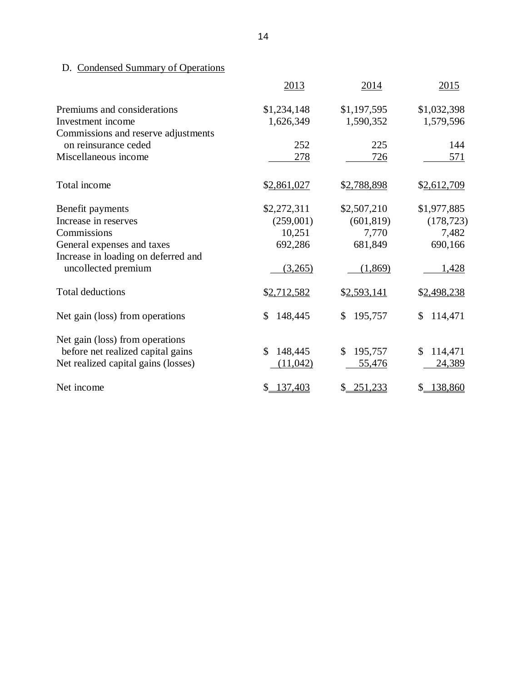### <span id="page-16-0"></span>D. Condensed Summary of Operations

|                                     | 2013           | 2014          | 2015                         |
|-------------------------------------|----------------|---------------|------------------------------|
| Premiums and considerations         | \$1,234,148    | \$1,197,595   | \$1,032,398                  |
| Investment income                   | 1,626,349      | 1,590,352     | 1,579,596                    |
| Commissions and reserve adjustments |                |               |                              |
| on reinsurance ceded                | 252            | 225           | 144                          |
| Miscellaneous income                | 278            | 726           | 571                          |
| Total income                        | \$2,861,027    | \$2,788,898   | \$2,612,709                  |
| Benefit payments                    | \$2,272,311    | \$2,507,210   | \$1,977,885                  |
| Increase in reserves                | (259,001)      | (601, 819)    | (178, 723)                   |
| Commissions                         | 10,251         | 7,770         | 7,482                        |
| General expenses and taxes          | 692,286        | 681,849       | 690,166                      |
| Increase in loading on deferred and |                |               |                              |
| uncollected premium                 | (3,265)        | (1,869)       | <u>1,428</u>                 |
| <b>Total deductions</b>             | \$2,712,582    | \$2,593,141   | \$2,498,238                  |
| Net gain (loss) from operations     | 148,445<br>\$  | 195,757<br>\$ | \$<br>114,471                |
| Net gain (loss) from operations     |                |               |                              |
| before net realized capital gains   | \$<br>148,445  | \$<br>195,757 | \$<br>114,471                |
| Net realized capital gains (losses) | (11, 042)      | 55,476        | 24,389                       |
| Net income                          | 137,403<br>\$. | \$251,233     | 138,860<br>$\mathcal{S}_{-}$ |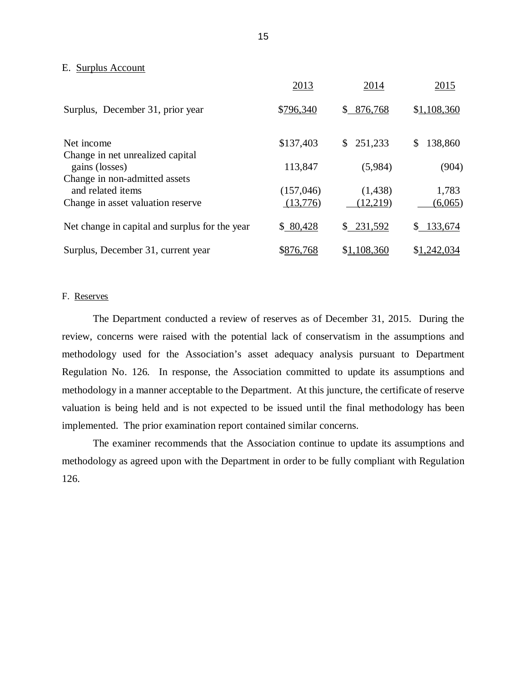### <span id="page-17-0"></span>E. Surplus Account

|                                                    | 2013      | 2014          | 2015          |
|----------------------------------------------------|-----------|---------------|---------------|
| Surplus, December 31, prior year                   | \$796,340 | 876,768<br>\$ | \$1,108,360   |
| Net income                                         | \$137,403 | \$251,233     | 138,860<br>\$ |
| Change in net unrealized capital<br>gains (losses) | 113,847   | (5,984)       | (904)         |
| Change in non-admitted assets<br>and related items | (157,046) | (1,438)       | 1,783         |
| Change in asset valuation reserve                  | (13,776)  | (12,219)      | (6,065)       |
| Net change in capital and surplus for the year     | \$80,428  | \$231,592     | 133,674<br>\$ |
| Surplus, December 31, current year                 | \$876,768 | \$1,108,360   | \$1,242,034   |

### F. Reserves

 The Department conducted a review of reserves as of December 31, 2015. During the review, concerns were raised with the potential lack of conservatism in the assumptions and methodology used for the Association's asset adequacy analysis pursuant to Department Regulation No. 126. In response, the Association committed to update its assumptions and methodology in a manner acceptable to the Department. At this juncture, the certificate of reserve valuation is being held and is not expected to be issued until the final methodology has been implemented. The prior examination report contained similar concerns.

 The examiner recommends that the Association continue to update its assumptions and methodology as agreed upon with the Department in order to be fully compliant with Regulation 126.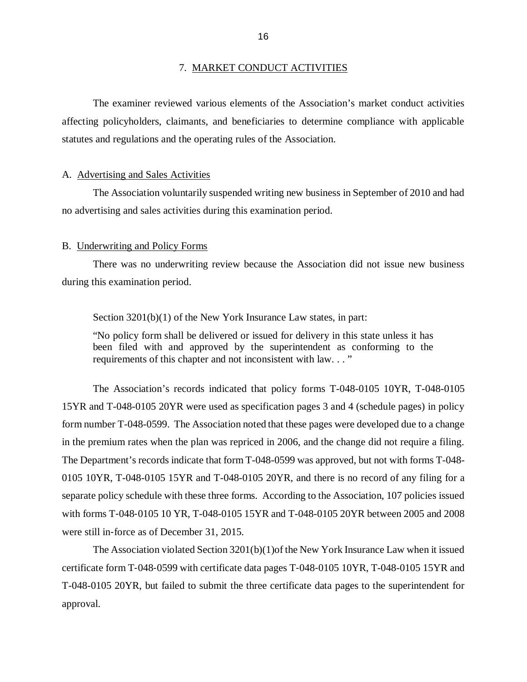### 7. MARKET CONDUCT ACTIVITIES

<span id="page-18-0"></span> affecting policyholders, claimants, and beneficiaries to determine compliance with applicable statutes and regulations and the operating rules of the Association. The examiner reviewed various elements of the Association's market conduct activities

### A. Advertising and Sales Activities

 no advertising and sales activities during this examination period. The Association voluntarily suspended writing new business in September of 2010 and had

### B. Underwriting and Policy Forms

 There was no underwriting review because the Association did not issue new business during this examination period.

### Section 3201(b)(1) of the New York Insurance Law states, in part:

 "No policy form shall be delivered or issued for delivery in this state unless it has been filed with and approved by the superintendent as conforming to the requirements of this chapter and not inconsistent with law. . . "

 The Association's records indicated that policy forms T-048-0105 10YR, T-048-0105 15YR and T-048-0105 20YR were used as specification pages 3 and 4 (schedule pages) in policy form number T-048-0599. The Association noted that these pages were developed due to a change in the premium rates when the plan was repriced in 2006, and the change did not require a filing. The Department's records indicate that form T-048-0599 was approved, but not with forms T-048- 0105 10YR, T-048-0105 15YR and T-048-0105 20YR, and there is no record of any filing for a separate policy schedule with these three forms. According to the Association, 107 policies issued with forms T‐048‐0105 10 YR, T-048-0105 15YR and T-048-0105 20YR between 2005 and 2008 were still in‐force as of December 31, 2015.

 The Association violated Section 3201(b)(1)of the New York Insurance Law when it issued certificate form T‐048‐0599 with certificate data pages T‐048‐0105 10YR, T-048-0105 15YR and T-048-0105 20YR, but failed to submit the three certificate data pages to the superintendent for approval.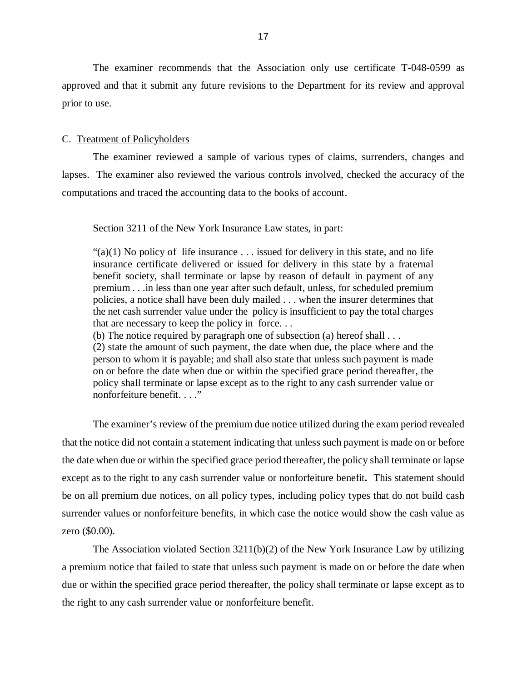The examiner recommends that the Association only use certificate T-048-0599 as approved and that it submit any future revisions to the Department for its review and approval prior to use.

### C. Treatment of Policyholders

 lapses. The examiner also reviewed the various controls involved, checked the accuracy of the computations and traced the accounting data to the books of account. The examiner reviewed a sample of various types of claims, surrenders, changes and

Section 3211 of the New York Insurance Law states, in part:

" $(a)(1)$  No policy of life insurance  $\dots$  issued for delivery in this state, and no life insurance certificate delivered or issued for delivery in this state by a fraternal benefit society, shall terminate or lapse by reason of default in payment of any premium . . .in less than one year after such default, unless, for scheduled premium policies, a notice shall have been duly mailed . . . when the insurer determines that the net cash surrender value under the policy is insufficient to pay the total charges that are necessary to keep the policy in force. . .

(b) The notice required by paragraph one of subsection (a) hereof shall . . .

 (2) state the amount of such payment, the date when due, the place where and the person to whom it is payable; and shall also state that unless such payment is made on or before the date when due or within the specified grace period thereafter, the policy shall terminate or lapse except as to the right to any cash surrender value or nonforfeiture benefit. . . ."

 The examiner's review of the premium due notice utilized during the exam period revealed that the notice did not contain a statement indicating that unless such payment is made on or before the date when due or within the specified grace period thereafter, the policy shall terminate or lapse except as to the right to any cash surrender value or nonforfeiture benefit*.* This statement should be on all premium due notices, on all policy types, including policy types that do not build cash surrender values or nonforfeiture benefits, in which case the notice would show the cash value as zero (\$0.00).

 The Association violated Section 3211(b)(2) of the New York Insurance Law by utilizing a premium notice that failed to state that unless such payment is made on or before the date when due or within the specified grace period thereafter, the policy shall terminate or lapse except as to the right to any cash surrender value or nonforfeiture benefit.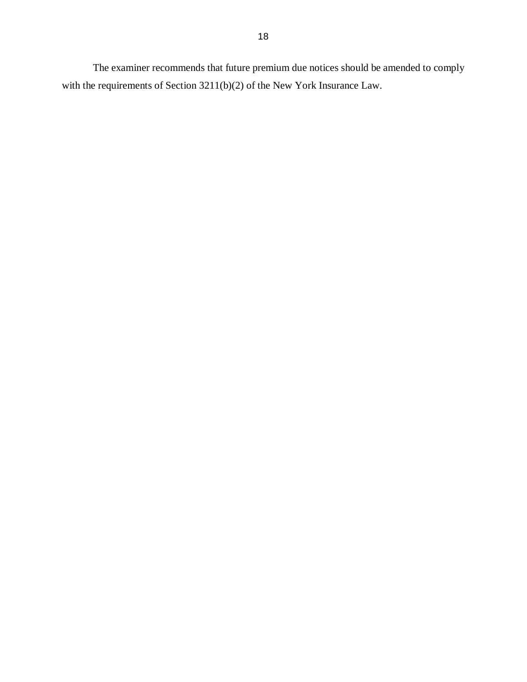The examiner recommends that future premium due notices should be amended to comply with the requirements of Section 3211(b)(2) of the New York Insurance Law.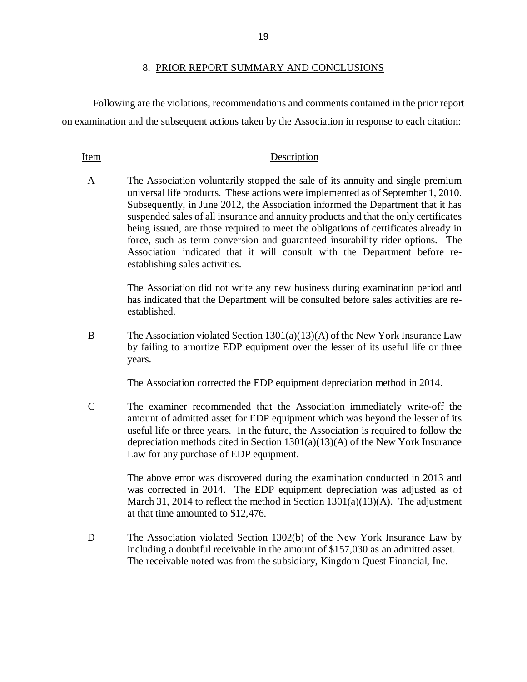### 8. PRIOR REPORT SUMMARY AND CONCLUSIONS

 Following are the violations, recommendations and comments contained in the prior report on examination and the subsequent actions taken by the Association in response to each citation:

### Item Description

 $\mathbf{A}$  universal life products. These actions were implemented as of September 1, 2010. Subsequently, in June 2012, the Association informed the Department that it has suspended sales of all insurance and annuity products and that the only certificates being issued, are those required to meet the obligations of certificates already in force, such as term conversion and guaranteed insurability rider options. The Association indicated that it will consult with the Department before re- establishing sales activities. The Association voluntarily stopped the sale of its annuity and single premium

> The Association did not write any new business during examination period and has indicated that the Department will be consulted before sales activities are reestablished.

 $\overline{B}$  by failing to amortize EDP equipment over the lesser of its useful life or three The Association violated Section  $1301(a)(13)(A)$  of the New York Insurance Law years.

The Association corrected the EDP equipment depreciation method in 2014.

 $\mathcal{C}$  amount of admitted asset for EDP equipment which was beyond the lesser of its useful life or three years. In the future, the Association is required to follow the depreciation methods cited in Section 1301(a)(13)(A) of the New York Insurance Law for any purchase of EDP equipment. The examiner recommended that the Association immediately write-off the

> was corrected in 2014. The EDP equipment depreciation was adjusted as of March 31, 2014 to reflect the method in Section 1301(a)(13)(A). The adjustment at that time amounted to \$12,476. The above error was discovered during the examination conducted in 2013 and

D including a doubtful receivable in the amount of \$157,030 as an admitted asset. The Association violated Section 1302(b) of the New York Insurance Law by The receivable noted was from the subsidiary, Kingdom Quest Financial, Inc.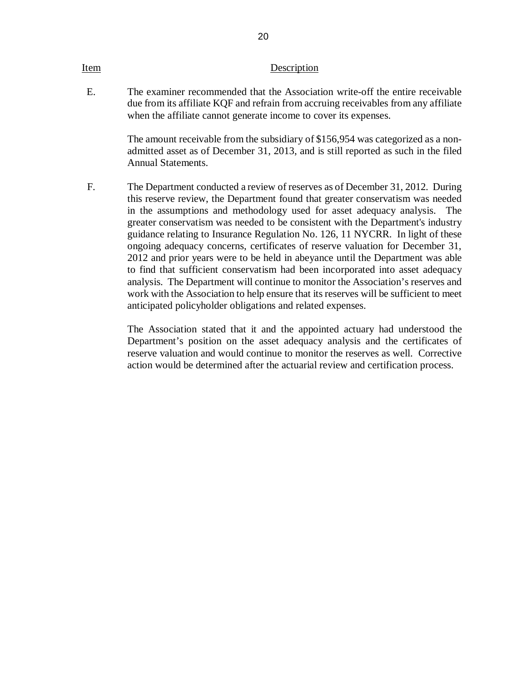### Item Description

 $E_{\rm{L}}$  due from its affiliate KQF and refrain from accruing receivables from any affiliate when the affiliate cannot generate income to cover its expenses. The examiner recommended that the Association write-off the entire receivable

20

 admitted asset as of December 31, 2013, and is still reported as such in the filed Annual Statements. The amount receivable from the subsidiary of \$156,954 was categorized as a non-

 $F_{\perp}$  this reserve review, the Department found that greater conservatism was needed in the assumptions and methodology used for asset adequacy analysis. The greater conservatism was needed to be consistent with the Department's industry guidance relating to Insurance Regulation No. 126, 11 NYCRR. In light of these ongoing adequacy concerns, certificates of reserve valuation for December 31, 2012 and prior years were to be held in abeyance until the Department was able to find that sufficient conservatism had been incorporated into asset adequacy analysis. The Department will continue to monitor the Association's reserves and work with the Association to help ensure that its reserves will be sufficient to meet anticipated policyholder obligations and related expenses. The Department conducted a review of reserves as of December 31, 2012. During

> Department's position on the asset adequacy analysis and the certificates of reserve valuation and would continue to monitor the reserves as well. Corrective action would be determined after the actuarial review and certification process. The Association stated that it and the appointed actuary had understood the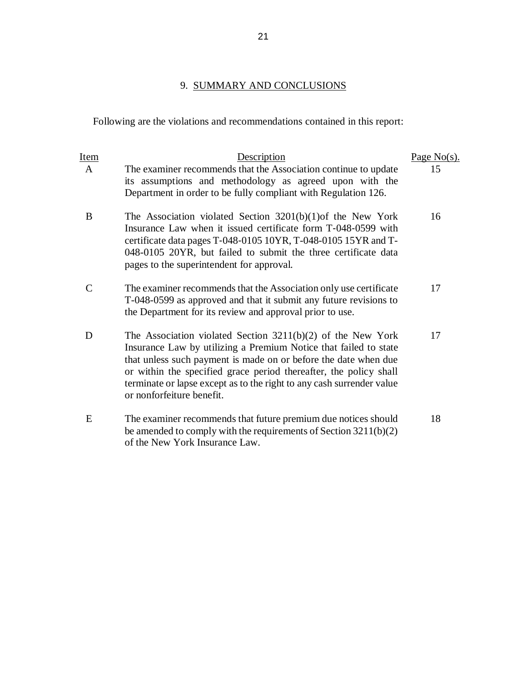### 9. SUMMARY AND CONCLUSIONS

Following are the violations and recommendations contained in this report:

| <b>Item</b> | Description                                                                                                                                                                                                                                                                                                                                                                     | Page $No(s)$ . |
|-------------|---------------------------------------------------------------------------------------------------------------------------------------------------------------------------------------------------------------------------------------------------------------------------------------------------------------------------------------------------------------------------------|----------------|
| A           | The examiner recommends that the Association continue to update<br>its assumptions and methodology as agreed upon with the<br>Department in order to be fully compliant with Regulation 126.                                                                                                                                                                                    | 15             |
| B           | The Association violated Section $3201(b)(1)$ of the New York<br>Insurance Law when it issued certificate form T-048-0599 with<br>certificate data pages T-048-0105 10YR, T-048-0105 15YR and T-<br>048-0105 20YR, but failed to submit the three certificate data<br>pages to the superintendent for approval.                                                                 | 16             |
| C           | The examiner recommends that the Association only use certificate<br>T-048-0599 as approved and that it submit any future revisions to<br>the Department for its review and approval prior to use.                                                                                                                                                                              | 17             |
| D           | The Association violated Section $3211(b)(2)$ of the New York<br>Insurance Law by utilizing a Premium Notice that failed to state<br>that unless such payment is made on or before the date when due<br>or within the specified grace period thereafter, the policy shall<br>terminate or lapse except as to the right to any cash surrender value<br>or nonforfeiture benefit. | 17             |
| E           | The examiner recommends that future premium due notices should<br>be amended to comply with the requirements of Section $3211(b)(2)$<br>of the New York Insurance Law.                                                                                                                                                                                                          | 18             |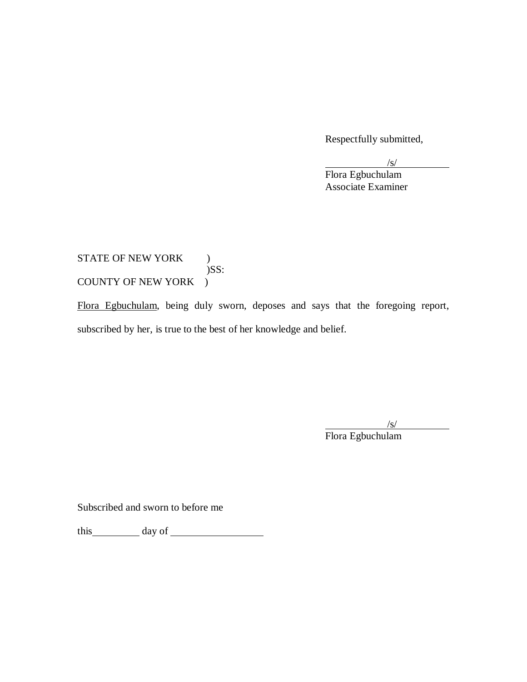Respectfully submitted,

 $/$ s/

Flora Egbuchulam Associate Examiner

## STATE OF NEW YORK ) COUNTY OF NEW YORK ) )SS:

Flora Egbuchulam, being duly sworn, deposes and says that the foregoing report, subscribed by her, is true to the best of her knowledge and belief.

/s/

Flora Egbuchulam

Subscribed and sworn to before me

this day of